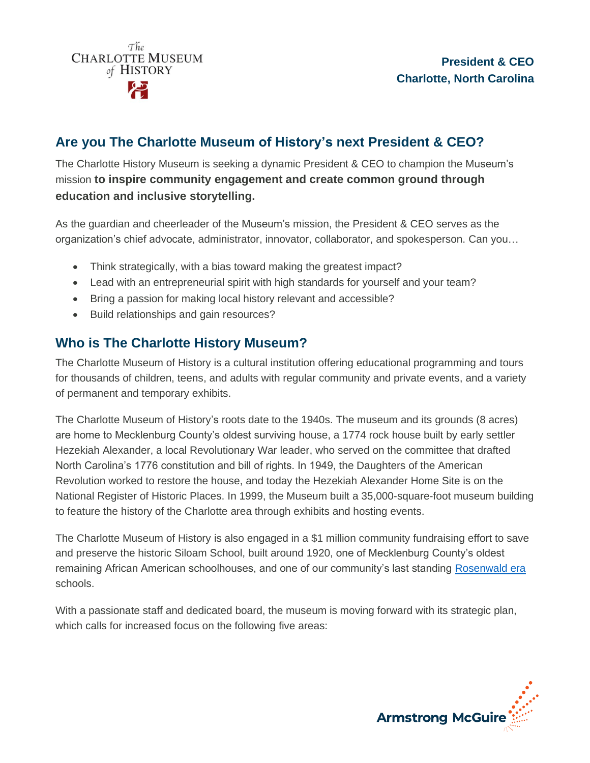

## **Are you The Charlotte Museum of History's next President & CEO?**

The Charlotte History Museum is seeking a dynamic President & CEO to champion the Museum's mission **to inspire community engagement and create common ground through education and inclusive storytelling.**

As the guardian and cheerleader of the Museum's mission, the President & CEO serves as the organization's chief advocate, administrator, innovator, collaborator, and spokesperson. Can you…

- Think strategically, with a bias toward making the greatest impact?
- Lead with an entrepreneurial spirit with high standards for yourself and your team?
- Bring a passion for making local history relevant and accessible?
- Build relationships and gain resources?

### **Who is The Charlotte History Museum?**

The Charlotte Museum of History is a cultural institution offering educational programming and tours for thousands of children, teens, and adults with regular community and private events, and a variety of permanent and temporary exhibits.

The Charlotte Museum of History's roots date to the 1940s. The museum and its grounds (8 acres) are home to Mecklenburg County's oldest surviving house, a 1774 rock house built by early settler Hezekiah Alexander, a local Revolutionary War leader, who served on the committee that drafted North Carolina's 1776 constitution and bill of rights. In 1949, the Daughters of the American Revolution worked to restore the house, and today the Hezekiah Alexander Home Site is on the National Register of Historic Places. In 1999, the Museum built a 35,000-square-foot museum building to feature the history of the Charlotte area through exhibits and hosting events.

The Charlotte Museum of History is also engaged in a \$1 million community fundraising effort to save and preserve the historic Siloam School, built around 1920, one of Mecklenburg County's oldest remaining African American schoolhouses, and one of our community's last standing [Rosenwald era](https://charlottemuseum.org/siloam/#rosenwald-fund) schools.

With a passionate staff and dedicated board, the museum is moving forward with its strategic plan, which calls for increased focus on the following five areas:

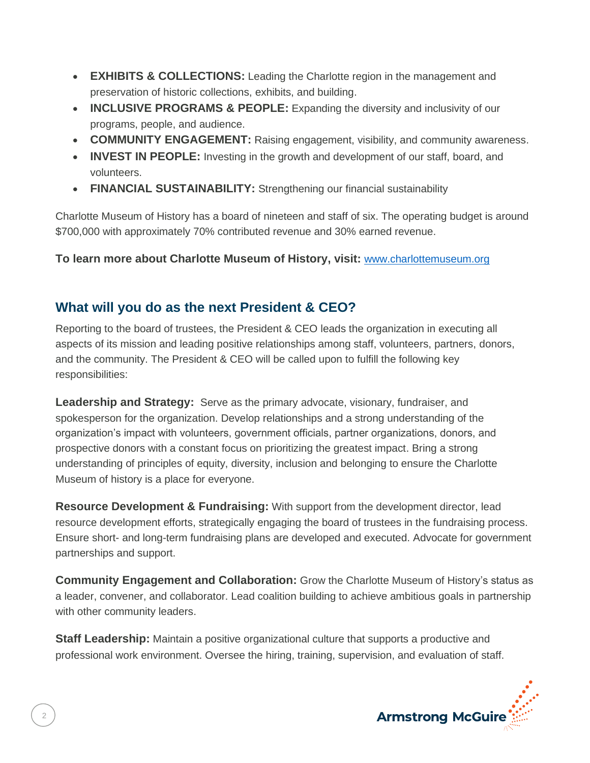- **EXHIBITS & COLLECTIONS:** Leading the Charlotte region in the management and preservation of historic collections, exhibits, and building.
- **INCLUSIVE PROGRAMS & PEOPLE:** Expanding the diversity and inclusivity of our programs, people, and audience.
- **COMMUNITY ENGAGEMENT:** Raising engagement, visibility, and community awareness.
- **INVEST IN PEOPLE:** Investing in the growth and development of our staff, board, and volunteers.
- **FINANCIAL SUSTAINABILITY:** Strengthening our financial sustainability

Charlotte Museum of History has a board of nineteen and staff of six. The operating budget is around \$700,000 with approximately 70% contributed revenue and 30% earned revenue.

**To learn more about Charlotte Museum of History, visit:** [www.charlottemuseum.org](http://www.charlottemuseum.org/)

# **What will you do as the next President & CEO?**

Reporting to the board of trustees, the President & CEO leads the organization in executing all aspects of its mission and leading positive relationships among staff, volunteers, partners, donors, and the community. The President & CEO will be called upon to fulfill the following key responsibilities:

**Leadership and Strategy:** Serve as the primary advocate, visionary, fundraiser, and spokesperson for the organization. Develop relationships and a strong understanding of the organization's impact with volunteers, government officials, partner organizations, donors, and prospective donors with a constant focus on prioritizing the greatest impact. Bring a strong understanding of principles of equity, diversity, inclusion and belonging to ensure the Charlotte Museum of history is a place for everyone.

**Resource Development & Fundraising:** With support from the development director, lead resource development efforts, strategically engaging the board of trustees in the fundraising process. Ensure short- and long-term fundraising plans are developed and executed. Advocate for government partnerships and support.

**Community Engagement and Collaboration:** Grow the Charlotte Museum of History's status as a leader, convener, and collaborator. Lead coalition building to achieve ambitious goals in partnership with other community leaders.

**Staff Leadership:** Maintain a positive organizational culture that supports a productive and professional work environment. Oversee the hiring, training, supervision, and evaluation of staff.

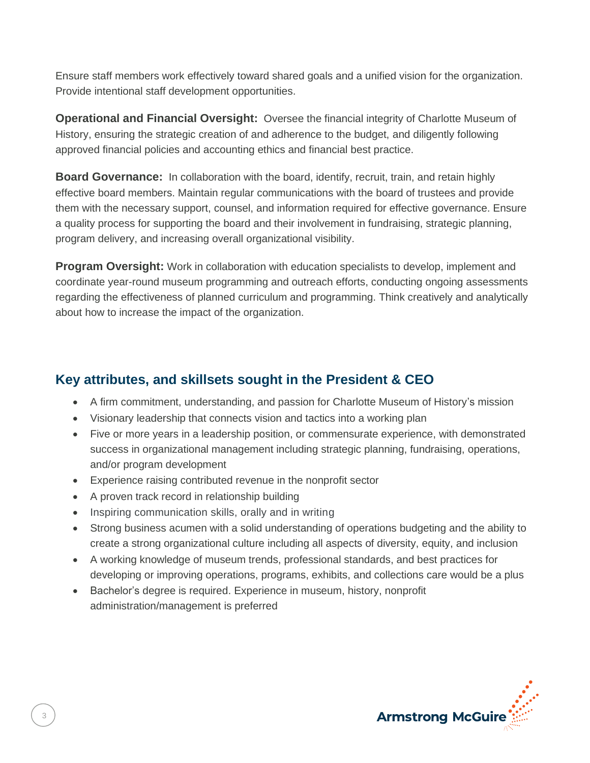Ensure staff members work effectively toward shared goals and a unified vision for the organization. Provide intentional staff development opportunities.

**Operational and Financial Oversight:** Oversee the financial integrity of Charlotte Museum of History, ensuring the strategic creation of and adherence to the budget, and diligently following approved financial policies and accounting ethics and financial best practice.

**Board Governance:** In collaboration with the board, identify, recruit, train, and retain highly effective board members. Maintain regular communications with the board of trustees and provide them with the necessary support, counsel, and information required for effective governance. Ensure a quality process for supporting the board and their involvement in fundraising, strategic planning, program delivery, and increasing overall organizational visibility.

**Program Oversight:** Work in collaboration with education specialists to develop, implement and coordinate year-round museum programming and outreach efforts, conducting ongoing assessments regarding the effectiveness of planned curriculum and programming. Think creatively and analytically about how to increase the impact of the organization.

### **Key attributes, and skillsets sought in the President & CEO**

- A firm commitment, understanding, and passion for Charlotte Museum of History's mission
- Visionary leadership that connects vision and tactics into a working plan
- Five or more years in a leadership position, or commensurate experience, with demonstrated success in organizational management including strategic planning, fundraising, operations, and/or program development
- Experience raising contributed revenue in the nonprofit sector
- A proven track record in relationship building
- Inspiring communication skills, orally and in writing
- Strong business acumen with a solid understanding of operations budgeting and the ability to create a strong organizational culture including all aspects of diversity, equity, and inclusion
- A working knowledge of museum trends, professional standards, and best practices for developing or improving operations, programs, exhibits, and collections care would be a plus
- Bachelor's degree is required. Experience in museum, history, nonprofit administration/management is preferred



3